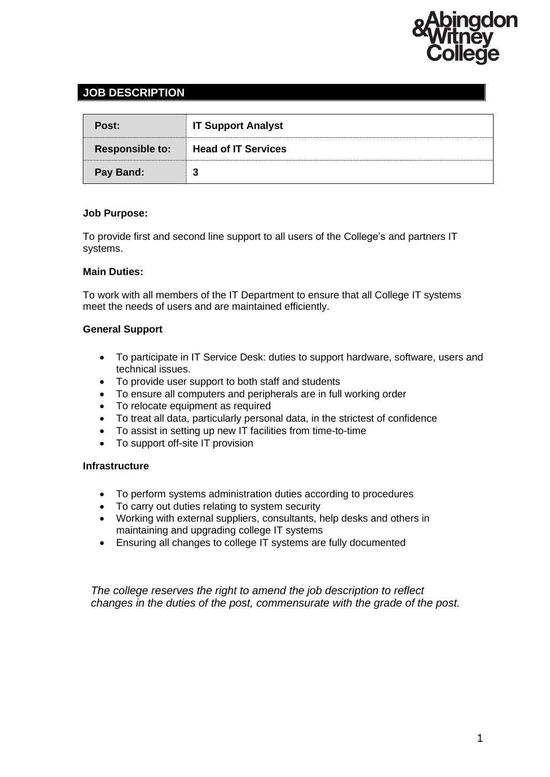

# **JOB DESCRIPTION**

| Post:                  | <b>IT Support Analyst</b>  |
|------------------------|----------------------------|
| <b>Responsible to:</b> | <b>Head of IT Services</b> |
| <b>Pay Band:</b>       | 3                          |

## **Job Purpose:**

To provide first and second line support to all users of the College's and partners IT systems.

## **Main Duties:**

To work with all members of the IT Department to ensure that all College IT systems meet the needs of users and are maintained efficiently.

# **General Support**

- To participate in IT Service Desk: duties to support hardware, software, users and technical issues.
- To provide user support to both staff and students
- To ensure all computers and peripherals are in full working order
- To relocate equipment as required
- To treat all data, particularly personal data, in the strictest of confidence
- To assist in setting up new IT facilities from time-to-time
- To support off-site IT provision

## **Infrastructure**

- To perform systems administration duties according to procedures
- To carry out duties relating to system security
- Working with external suppliers, consultants, help desks and others in maintaining and upgrading college IT systems
- Ensuring all changes to college IT systems are fully documented

*The college reserves the right to amend the job description to reflect changes in the duties of the post, commensurate with the grade of the post.*